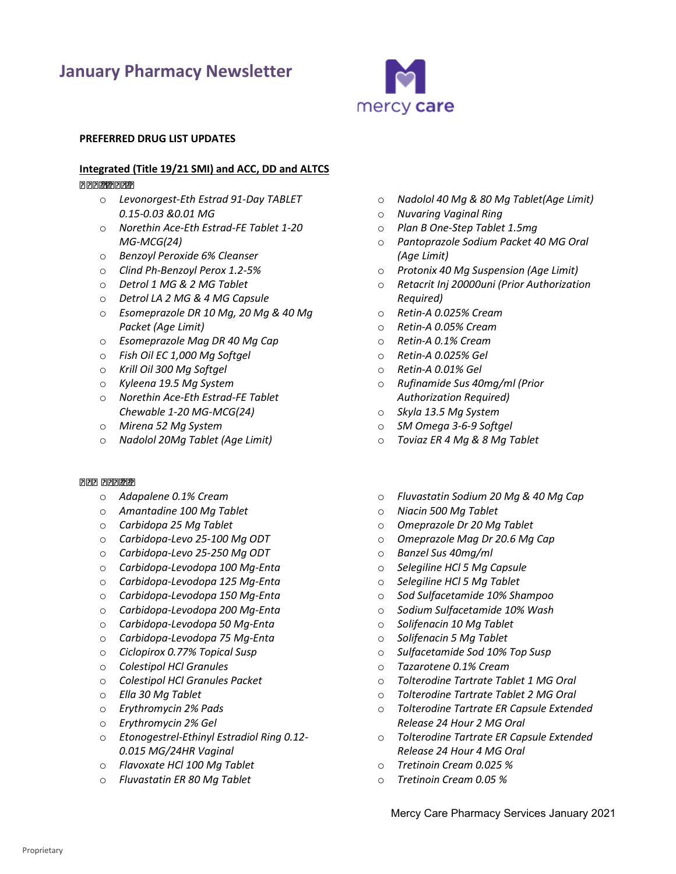# **January Pharmacy Newsletter**



#### **PREFERRED DRUG LIST UPDATES**

#### **Integrated (Title 19/21 SMI) and ACC, DD and ALTCS**

#### *Additions:*

- o *Levonorgest-Eth Estrad 91-Day TABLET 0.15-0.03 &0.01 MG*
- o *Norethin Ace-Eth Estrad-FE Tablet 1-20 MG-MCG(24)*
- o *Benzoyl Peroxide 6% Cleanser*
- o *Clind Ph-Benzoyl Perox 1.2-5%*
- o *Detrol 1 MG & 2 MG Tablet*
- o *Detrol LA 2 MG & 4 MG Capsule*
- o *Esomeprazole DR 10 Mg, 20 Mg & 40 Mg Packet (Age Limit)*
- o *Esomeprazole Mag DR 40 Mg Cap*
- o *Fish Oil EC 1,000 Mg Softgel*
- o *Krill Oil 300 Mg Softgel*
- o *Kyleena 19.5 Mg System*
- o *Norethin Ace-Eth Estrad-FE Tablet Chewable 1-20 MG-MCG(24)*
- o *Mirena 52 Mg System*
- o *Nadolol 20Mg Tablet (Age Limit)*

#### *Removals:*

- o *Adapalene 0.1% Cream*
- o *Amantadine 100 Mg Tablet*
- o *Carbidopa 25 Mg Tablet*
- o *Carbidopa-Levo 25-100 Mg ODT*
- o *Carbidopa-Levo 25-250 Mg ODT*
- o *Carbidopa-Levodopa 100 Mg-Enta*
- o *Carbidopa-Levodopa 125 Mg-Enta*
- o *Carbidopa-Levodopa 150 Mg-Enta*
- o *Carbidopa-Levodopa 200 Mg-Enta*
- o *Carbidopa-Levodopa 50 Mg-Enta*
- o *Carbidopa-Levodopa 75 Mg-Enta*
- o *Ciclopirox 0.77% Topical Susp*
- o *Colestipol HCl Granules*
- o *Colestipol HCl Granules Packet*
- o *Ella 30 Mg Tablet*
- o *Erythromycin 2% Pads*
- o *Erythromycin 2% Gel*
- *0.015 MG/24HR Vaginal*  o *Etonogestrel-Ethinyl Estradiol Ring 0.12-*
- o *Flavoxate HCl 100 Mg Tablet*
- o *Fluvastatin ER 80 Mg Tablet*
- o *Nadolol 40 Mg & 80 Mg Tablet(Age Limit)*
- o *Nuvaring Vaginal Ring*
- o *Plan B One-Step Tablet 1.5mg*
- o *Pantoprazole Sodium Packet 40 MG Oral (Age Limit)*
- o *Protonix 40 Mg Suspension (Age Limit)*
- *Required)*  o *Retacrit Inj 20000uni (Prior Authorization*
- o *Retin-A 0.025% Cream*
- o *Retin-A 0.05% Cream*
- o *Retin-A 0.1% Cream*
- o *Retin-A 0.025% Gel*
- o *Retin-A 0.01% Gel*
- *Authorization Required)* o *Rufinamide Sus 40mg/ml (Prior*
- o *Skyla 13.5 Mg System*
- o *SM Omega 3-6-9 Softgel*
- o *Toviaz ER 4 Mg & 8 Mg Tablet*
- o *Fluvastatin Sodium 20 Mg & 40 Mg Cap*
- o *Niacin 500 Mg Tablet*
- o *Omeprazole Dr 20 Mg Tablet*
- o *Omeprazole Mag Dr 20.6 Mg Cap*
- o *Banzel Sus 40mg/ml*
- o *Selegiline HCl 5 Mg Capsule*
- o *Selegiline HCl 5 Mg Tablet*
- o *Sod Sulfacetamide 10% Shampoo*
- o *Sodium Sulfacetamide 10% Wash*
- o *Solifenacin 10 Mg Tablet*
- o *Solifenacin 5 Mg Tablet*
- o *Sulfacetamide Sod 10% Top Susp*
- o *Tazarotene 0.1% Cream*
- o *Tolterodine Tartrate Tablet 1 MG Oral*
- o *Tolterodine Tartrate Tablet 2 MG Oral*
- *Release 24 Hour 2 MG Oral*  o *Tolterodine Tartrate ER Capsule Extended*
- *Release 24 Hour 4 MG Oral*  o *Tolterodine Tartrate ER Capsule Extended*
- o *Tretinoin Cream 0.025 %*
- o *Tretinoin Cream 0.05 %*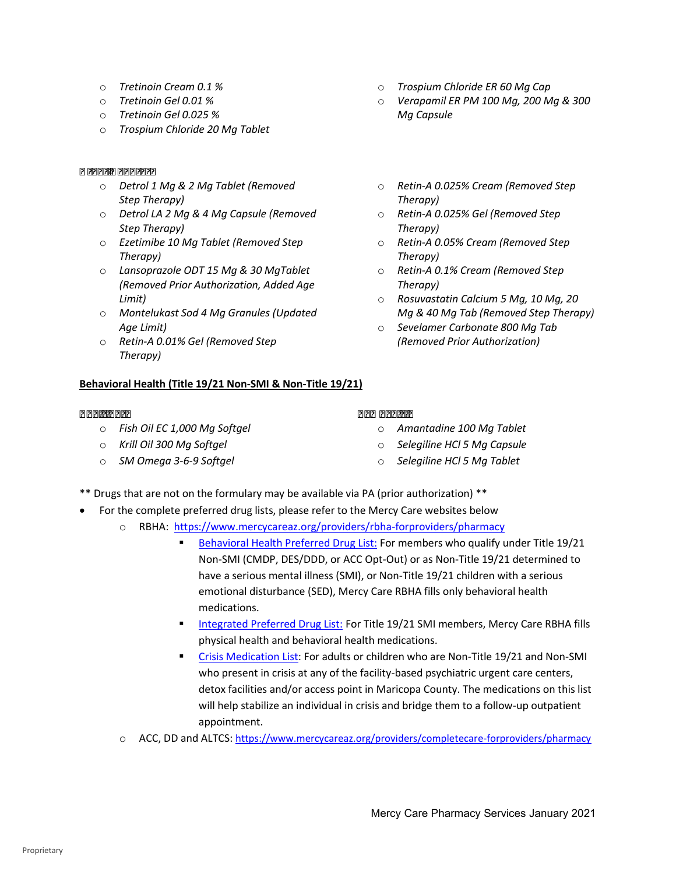- o *Tretinoin Cream 0.1 %*
- o *Tretinoin Gel 0.01 %*
- o *Tretinoin Gel 0.025 %*
- o *Trospium Chloride 20 Mg Tablet*

#### *Other Updates*

- o *Detrol 1 Mg & 2 Mg Tablet (Removed Step Therapy)*
- o *Detrol LA 2 Mg & 4 Mg Capsule (Removed Step Therapy)*
- o *Ezetimibe 10 Mg Tablet (Removed Step Therapy)*
- *(Removed Prior Authorization, Added Age*  o *Lansoprazole ODT 15 Mg & 30 MgTablet Limit)*
- o *Montelukast Sod 4 Mg Granules (Updated Age Limit)*
- o *Retin-A 0.01% Gel (Removed Step Therapy)*

### **Behavioral Health (Title 19/21 Non-SMI & Non-Title 19/21)**

#### *Additions:*

- o *Fish Oil EC 1,000 Mg Softgel*
- o *Krill Oil 300 Mg Softgel*
- o *SM Omega 3-6-9 Softgel*
- o *Trospium Chloride ER 60 Mg Cap*
- o *Verapamil ER PM 100 Mg, 200 Mg & 300 Mg Capsule*
- o *Retin-A 0.025% Cream (Removed Step Therapy)*
- o *Retin-A 0.025% Gel (Removed Step Therapy)*
- o *Retin-A 0.05% Cream (Removed Step Therapy)*
- o *Retin-A 0.1% Cream (Removed Step Therapy)*
- o *Rosuvastatin Calcium 5 Mg, 10 Mg, 20 Mg & 40 Mg Tab (Removed Step Therapy)*
- *(Removed Prior Authorization)*  o *Sevelamer Carbonate 800 Mg Tab*

#### *Removals:*

- o *Amantadine 100 Mg Tablet*
- o *Selegiline HCl 5 Mg Capsule*
- o *Selegiline HCl 5 Mg Tablet*
- \*\* Drugs that are not on the formulary may be available via PA (prior authorization) \*\*
- • For the complete preferred drug lists, please refer to the Mercy Care websites below
	- o RBHA:<https://www.mercycareaz.org/providers/rbha-forproviders/pharmacy>
		- [Behavioral Health Preferred Drug List:](https://www.mercycareaz.org/assets/pdf/rbha-members/pharmacy/Formulary%20PDLs/8822_MCY_RBHA_FORMULARY_2020.pdf) For members who qualify under Title 19/21 Non-SMI (CMDP, DES/DDD, or ACC Opt-Out) or as Non-Title 19/21 determined to have a serious mental illness (SMI), or Non-Title 19/21 children with a serious emotional disturbance (SED), Mercy Care RBHA fills only behavioral health medications.
		- **[Integrated Preferred Drug List:](https://www.mercycareaz.org/assets/pdf/rbha-members/pharmacy/Formulary%20PDLs/8805-8822_MCY_FORMULARY_2020.pdf) For Title 19/21 SMI members, Mercy Care RBHA fills** physical health and behavioral health medications.
		- [Crisis Medication List:](https://www.mercycareaz.org/assets/pdf/rbha-members/pharmacy/Formulary%20PDLs/Mercy%20Care%20Crisis%20Medication%20List_2020.pdf) For adults or children who are Non-Title 19/21 and Non-SMI who present in crisis at any of the facility-based psychiatric urgent care centers, detox facilities and/or access point in Maricopa County. The medications on this list will help stabilize an individual in crisis and bridge them to a follow-up outpatient appointment.
	- o ACC, DD and ALTCS:<https://www.mercycareaz.org/providers/completecare-forproviders/pharmacy>